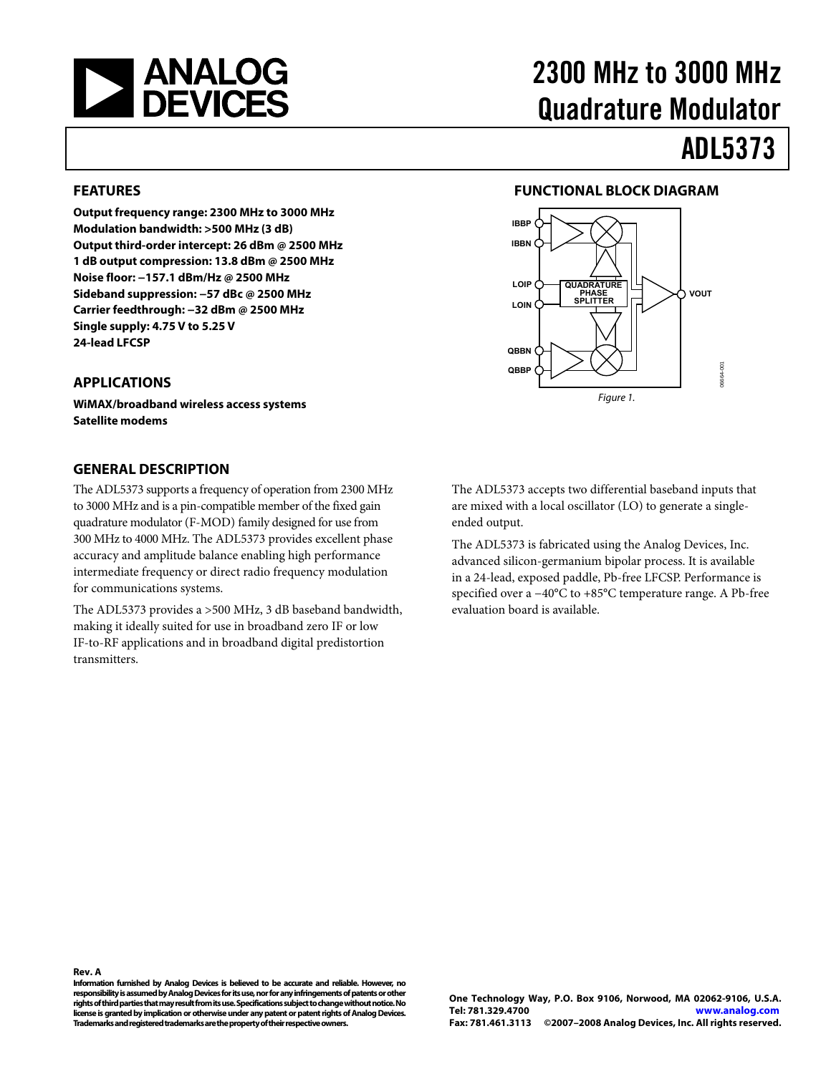<span id="page-0-0"></span>

# 2300 MHz to 3000 MHz Quadrature Modulator

**FUNCTIONAL BLOCK DIAGRAM** 

**QUADRATURE PHASE SPLITTER**

**IBBP IBBN**

**LOIP LOIN**

**QBBN QBBP**

# ADL5373

**VOUT**

06664-001

6664-00

#### **FEATURES**

**Output frequency range: 2300 MHz to 3000 MHz Modulation bandwidth: >500 MHz (3 dB) Output third-order intercept: 26 dBm @ 2500 MHz 1 dB output compression: 13.8 dBm @ 2500 MHz Noise floor: −157.1 dBm/Hz @ 2500 MHz Sideband suppression: −57 dBc @ 2500 MHz Carrier feedthrough: −32 dBm @ 2500 MHz Single supply: 4.75 V to 5.25 V 24-lead LFCSP** 

#### **APPLICATIONS**

**WiMAX/broadband wireless access systems Satellite modems** 

#### **GENERAL DESCRIPTION**

The ADL5373 supports a frequency of operation from 2300 MHz to 3000 MHz and is a pin-compatible member of the fixed gain quadrature modulator (F-MOD) family designed for use from 300 MHz to 4000 MHz. The ADL5373 provides excellent phase accuracy and amplitude balance enabling high performance intermediate frequency or direct radio frequency modulation for communications systems.

The ADL5373 provides a >500 MHz, 3 dB baseband bandwidth, making it ideally suited for use in broadband zero IF or low IF-to-RF applications and in broadband digital predistortion transmitters.

The ADL5373 accepts two differential baseband inputs that are mixed with a local oscillator (LO) to generate a singleended output.

Figure 1.

The ADL5373 is fabricated using the Analog Devices, Inc. advanced silicon-germanium bipolar process. It is available in a 24-lead, exposed paddle, Pb-free LFCSP. Performance is specified over a −40°C to +85°C temperature range. A Pb-free evaluation board is available.

**Rev. A** 

**Information furnished by Analog Devices is believed to be accurate and reliable. However, no responsibility is assumed by Analog Devices for its use, nor for any infringements of patents or other rights of third parties that may result from its use. Specifications subject to change without notice. No license is granted by implication or otherwise under any patent or patent rights of Analog Devices. Trademarks and registered trademarks are the property of their respective owners.**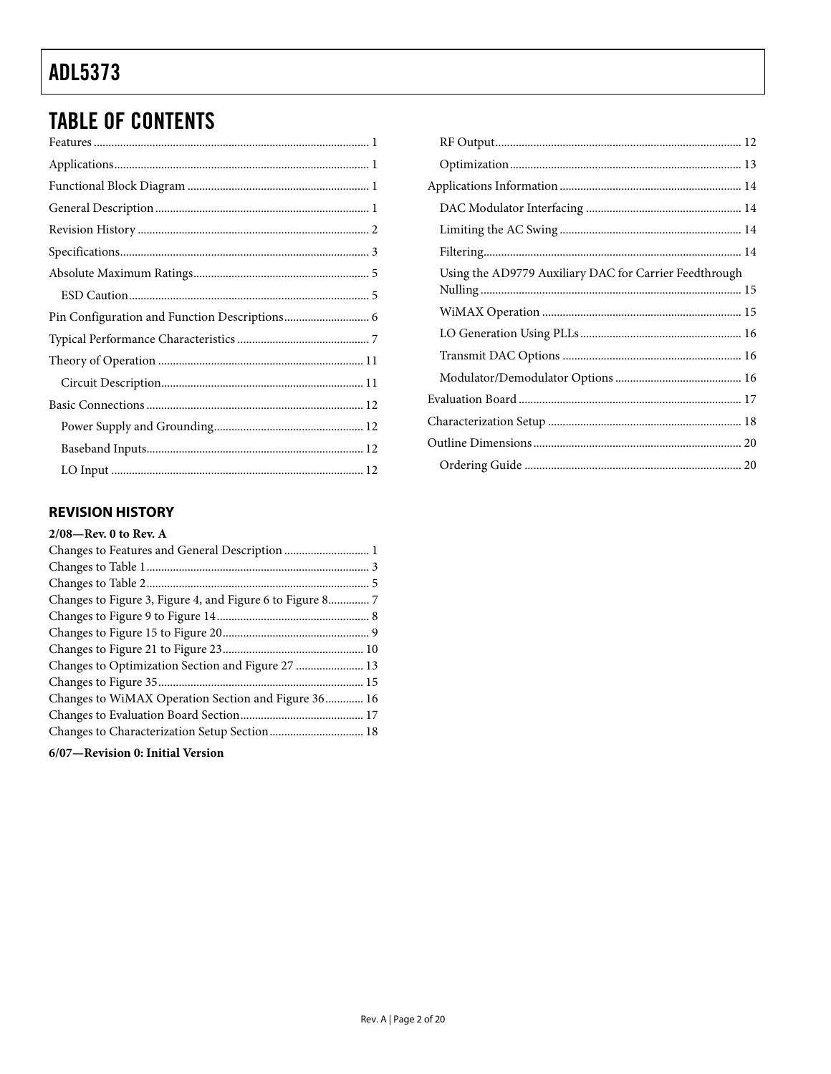## <span id="page-1-0"></span>**TABLE OF CONTENTS**

#### **REVISION HISTORY**

| Changes to Figure 3, Figure 4, and Figure 6 to Figure 8 7 |  |
|-----------------------------------------------------------|--|
|                                                           |  |
|                                                           |  |
|                                                           |  |
| Changes to Optimization Section and Figure 27  13         |  |
|                                                           |  |
| Changes to WiMAX Operation Section and Figure 36 16       |  |
|                                                           |  |
|                                                           |  |
|                                                           |  |

6/07-Revision 0: Initial Version

| Using the AD9779 Auxiliary DAC for Carrier Feedthrough |  |
|--------------------------------------------------------|--|
|                                                        |  |
|                                                        |  |
|                                                        |  |
|                                                        |  |
|                                                        |  |
|                                                        |  |
|                                                        |  |
|                                                        |  |
|                                                        |  |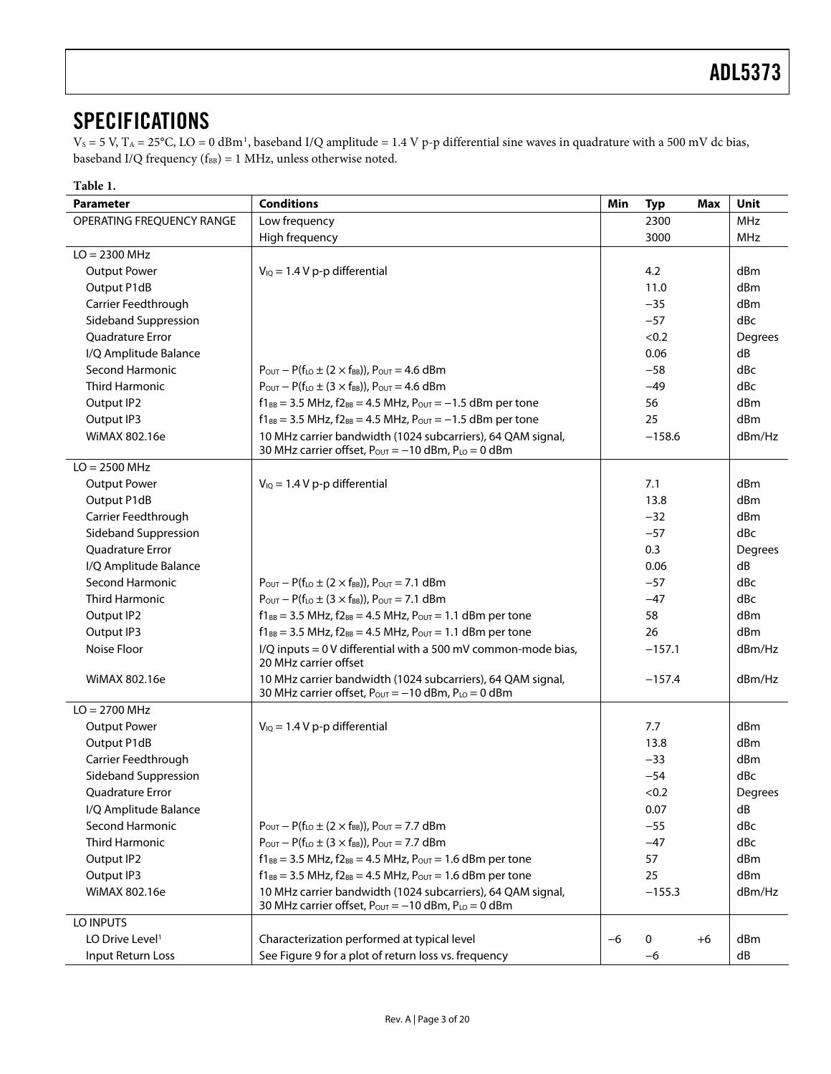### <span id="page-2-0"></span>**SPECIFICATIONS**

 $V_s = 5$  V,  $T_A = 25^{\circ}\text{C}$ ,  $\text{LO} = 0$  dBm<sup>[1](#page-3-0)</sup>, baseband I/Q amplitude = 1.4 V p-p differential sine waves in quadrature with a 500 mV dc bias, baseband I/Q frequency ( $f_{BB}$ ) = 1 MHz, unless otherwise noted.

| Table 1.                    |                                                                                                                             |      |            |            |             |
|-----------------------------|-----------------------------------------------------------------------------------------------------------------------------|------|------------|------------|-------------|
| <b>Parameter</b>            | <b>Conditions</b>                                                                                                           | Min  | <b>Typ</b> | Max        | <b>Unit</b> |
| OPERATING FREQUENCY RANGE   | Low frequency<br>2300                                                                                                       |      |            | <b>MHz</b> |             |
|                             | High frequency                                                                                                              |      | 3000       |            | MHz         |
| $LO = 2300 MHz$             |                                                                                                                             |      |            |            |             |
| <b>Output Power</b>         | $V_{IQ} = 1.4 V p-p$ differential                                                                                           |      | 4.2        |            | dBm         |
| Output P1dB                 |                                                                                                                             |      | 11.0       |            | dBm         |
| Carrier Feedthrough         |                                                                                                                             |      | $-35$      |            | dBm         |
| Sideband Suppression        |                                                                                                                             |      | $-57$      |            | dBc         |
| <b>Ouadrature Error</b>     |                                                                                                                             |      | < 0.2      |            | Degrees     |
| I/Q Amplitude Balance       |                                                                                                                             |      | 0.06       |            | dB          |
| Second Harmonic             | $P_{\text{OUT}} - P(f_{\text{LO}} \pm (2 \times f_{\text{BB}}))$ , $P_{\text{OUT}} = 4.6$ dBm                               |      | $-58$      |            | dBc         |
| <b>Third Harmonic</b>       | $P_{\text{OUT}} - P(f_{\text{LO}} \pm (3 \times f_{\text{BB}}))$ , $P_{\text{OUT}} = 4.6$ dBm                               |      | $-49$      |            | dBc         |
| Output IP2                  | $f1_{BB} = 3.5$ MHz, $f2_{BB} = 4.5$ MHz, $P_{OUT} = -1.5$ dBm per tone                                                     |      | 56         |            | dBm         |
| Output IP3                  | $f1_{BB} = 3.5$ MHz, $f2_{BB} = 4.5$ MHz, $P_{OUT} = -1.5$ dBm per tone                                                     |      | 25         |            | dBm         |
| WiMAX 802.16e               | 10 MHz carrier bandwidth (1024 subcarriers), 64 QAM signal,                                                                 |      | $-158.6$   |            | dBm/Hz      |
|                             | 30 MHz carrier offset, Pour = -10 dBm, PLo = 0 dBm                                                                          |      |            |            |             |
| $LO = 2500 MHz$             |                                                                                                                             |      |            |            |             |
| <b>Output Power</b>         | $V_{IQ} = 1.4 V p-p$ differential                                                                                           |      | 7.1        |            | dBm         |
| Output P1dB                 |                                                                                                                             |      | 13.8       |            | dBm         |
| Carrier Feedthrough         |                                                                                                                             |      | $-32$      |            | dBm         |
| Sideband Suppression        |                                                                                                                             |      | $-57$      |            | dBc         |
| <b>Ouadrature Error</b>     |                                                                                                                             |      | 0.3        |            | Degrees     |
| I/Q Amplitude Balance       |                                                                                                                             |      | 0.06       |            | dB          |
| <b>Second Harmonic</b>      | $P_{\text{OUT}} - P(f_{\text{LO}} \pm (2 \times f_{\text{BB}}))$ , $P_{\text{OUT}} = 7.1$ dBm                               |      | $-57$      |            | dBc         |
| <b>Third Harmonic</b>       | $P_{\text{OUT}} - P(f_{\text{LO}} \pm (3 \times f_{\text{BB}}))$ , $P_{\text{OUT}} = 7.1$ dBm                               |      | $-47$      |            | dBc         |
| Output IP2                  | $f1_{BB} = 3.5$ MHz, $f2_{BB} = 4.5$ MHz, $P_{OUT} = 1.1$ dBm per tone                                                      |      | 58         |            | dBm         |
| Output IP3                  | $f1_{BB} = 3.5$ MHz, $f2_{BB} = 4.5$ MHz, $P_{OUT} = 1.1$ dBm per tone                                                      |      | 26         |            | dBm         |
| Noise Floor                 | I/Q inputs = 0 V differential with a 500 mV common-mode bias,<br>20 MHz carrier offset                                      |      | $-157.1$   |            | dBm/Hz      |
| WiMAX 802.16e               | 10 MHz carrier bandwidth (1024 subcarriers), 64 QAM signal,<br>30 MHz carrier offset, $P_{OUT} = -10$ dBm, $P_{LO} = 0$ dBm |      | $-157.4$   |            | dBm/Hz      |
| $LO = 2700 MHz$             |                                                                                                                             |      |            |            |             |
| <b>Output Power</b>         | $V_{IQ} = 1.4 V p-p$ differential                                                                                           |      | 7.7        |            | dBm         |
| Output P1dB                 |                                                                                                                             |      | 13.8       |            | dBm         |
| Carrier Feedthrough         |                                                                                                                             |      | $-33$      |            | dBm         |
| Sideband Suppression        |                                                                                                                             |      | $-54$      |            | dBc         |
| Quadrature Error            |                                                                                                                             |      | < 0.2      |            | Degrees     |
| I/Q Amplitude Balance       |                                                                                                                             |      | 0.07       |            | dB          |
| Second Harmonic             | $P_{\text{OUT}} - P(f_{\text{LO}} \pm (2 \times f_{\text{BB}}))$ , $P_{\text{OUT}} = 7.7$ dBm                               |      | $-55$      |            | dBc         |
| <b>Third Harmonic</b>       | $P_{\text{OUT}} - P(f_{\text{LO}} \pm (3 \times f_{\text{BB}}))$ , $P_{\text{OUT}} = 7.7$ dBm                               |      | $-47$      |            | dBc         |
| Output IP2                  | $f1_{BB} = 3.5$ MHz, $f2_{BB} = 4.5$ MHz, $P_{OUT} = 1.6$ dBm per tone                                                      |      | 57         |            | dBm         |
| Output IP3                  | $f1_{BB} = 3.5$ MHz, $f2_{BB} = 4.5$ MHz, $P_{OUT} = 1.6$ dBm per tone                                                      |      | 25         |            | dBm         |
| WiMAX 802.16e               | 10 MHz carrier bandwidth (1024 subcarriers), 64 QAM signal,<br>$-155.3$                                                     |      |            | dBm/Hz     |             |
|                             | 30 MHz carrier offset, $P_{\text{OUT}} = -10$ dBm, $P_{\text{LO}} = 0$ dBm                                                  |      |            |            |             |
| LO INPUTS                   |                                                                                                                             |      |            |            |             |
| LO Drive Level <sup>1</sup> | Characterization performed at typical level                                                                                 | $-6$ | 0          | $+6$       | dBm         |
| Input Return Loss           | See Figure 9 for a plot of return loss vs. frequency                                                                        |      | $-6$       |            | dB          |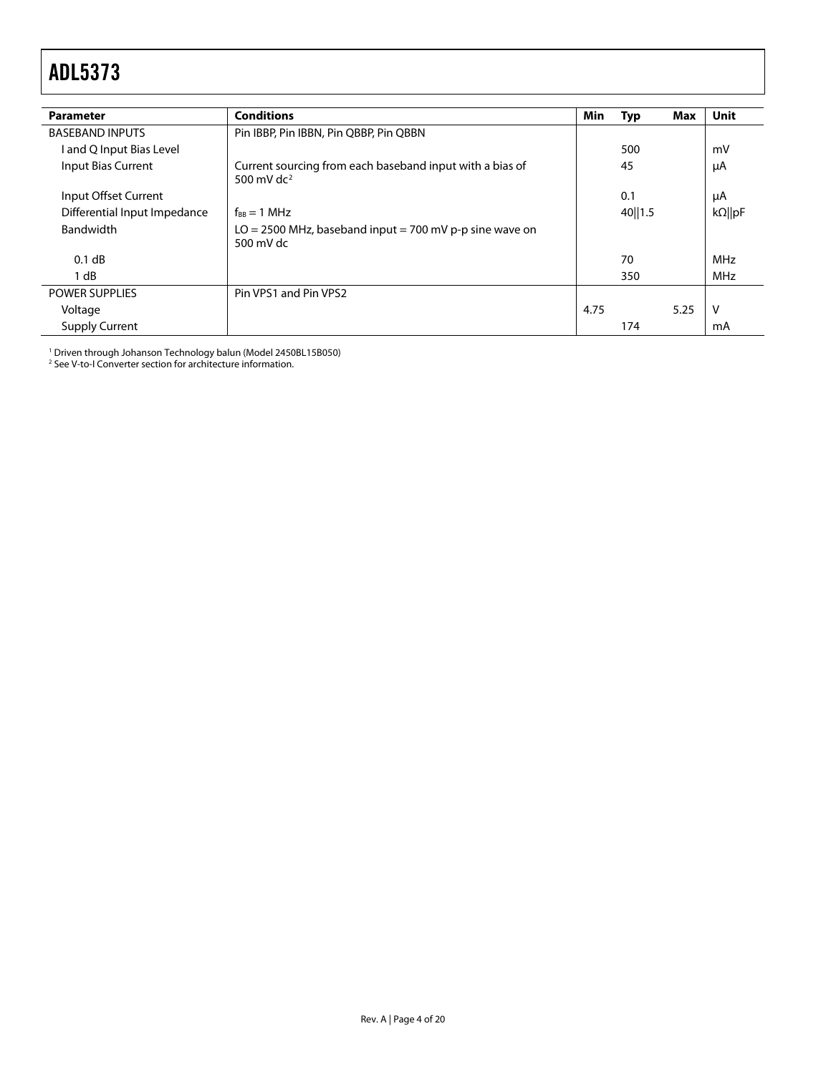<span id="page-3-0"></span>

| <b>Parameter</b>             | <b>Conditions</b>                                                          | Min  | <b>Typ</b> | Max  | <b>Unit</b>    |
|------------------------------|----------------------------------------------------------------------------|------|------------|------|----------------|
| <b>BASEBAND INPUTS</b>       | Pin IBBP, Pin IBBN, Pin QBBP, Pin QBBN                                     |      |            |      |                |
| l and Q Input Bias Level     |                                                                            |      | 500        |      | mV             |
| Input Bias Current           | Current sourcing from each baseband input with a bias of<br>500 mV d $c^2$ |      | 45         |      | μA             |
| Input Offset Current         |                                                                            |      | 0.1        |      | μA             |
| Differential Input Impedance | $f_{RR} = 1 \text{ MHz}$                                                   |      | 40   1.5   |      | $k\Omega$   pF |
| Bandwidth                    | $LO = 2500$ MHz, baseband input = 700 mV p-p sine wave on<br>500 mV dc     |      |            |      |                |
| 0.1 dB                       |                                                                            |      | 70         |      | <b>MHz</b>     |
| 1 dB                         |                                                                            |      | 350        |      | <b>MHz</b>     |
| <b>POWER SUPPLIES</b>        | Pin VPS1 and Pin VPS2                                                      |      |            |      |                |
| Voltage                      |                                                                            | 4.75 |            | 5.25 | $\vee$         |
| <b>Supply Current</b>        |                                                                            |      | 174        |      | mA             |

<sup>1</sup> Driven through Johanson Technology balun (Model 2450BL15B050)<br><sup>2</sup> Se[e V-to-I Converter section](#page-10-1) for architecture information.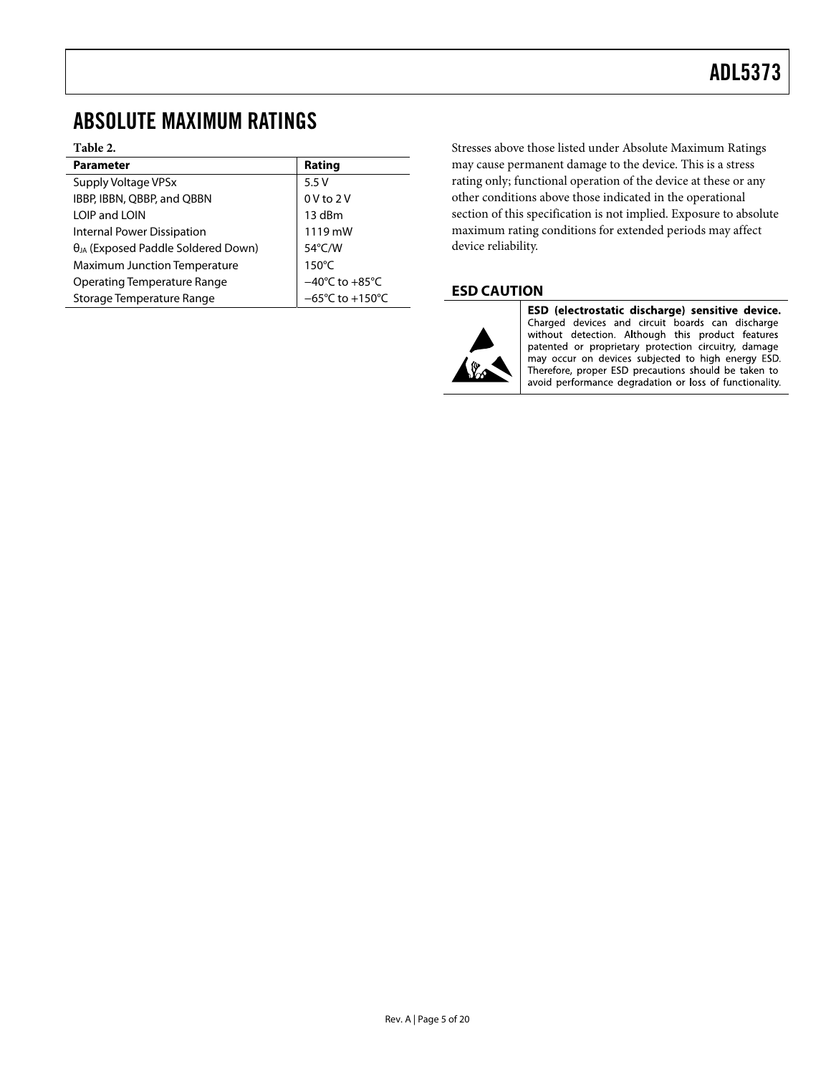### <span id="page-4-0"></span>ABSOLUTE MAXIMUM RATINGS

#### **Table 2.**

| <b>Parameter</b>                             | Rating                               |
|----------------------------------------------|--------------------------------------|
| Supply Voltage VPSx                          | 5.5V                                 |
| IBBP, IBBN, QBBP, and QBBN                   | $0V$ to $2V$                         |
| LOIP and LOIN                                | 13 dBm                               |
| Internal Power Dissipation                   | 1119 mW                              |
| $\theta_{JA}$ (Exposed Paddle Soldered Down) | $54^{\circ}$ C/W                     |
| <b>Maximum Junction Temperature</b>          | $150^{\circ}$ C                      |
| <b>Operating Temperature Range</b>           | $-40^{\circ}$ C to $+85^{\circ}$ C   |
| Storage Temperature Range                    | $-65^{\circ}$ C to +150 $^{\circ}$ C |

Stresses above those listed under Absolute Maximum Ratings may cause permanent damage to the device. This is a stress rating only; functional operation of the device at these or any other conditions above those indicated in the operational section of this specification is not implied. Exposure to absolute maximum rating conditions for extended periods may affect device reliability.

#### **ESD CAUTION**



ESD (electrostatic discharge) sensitive device. Charged devices and circuit boards can discharge<br>without detection. Although this product features patented or proprietary protection circuitry, damage may occur on devices subjected to high energy ESD. Therefore, proper ESD precautions should be taken to avoid performance degradation or loss of functionality.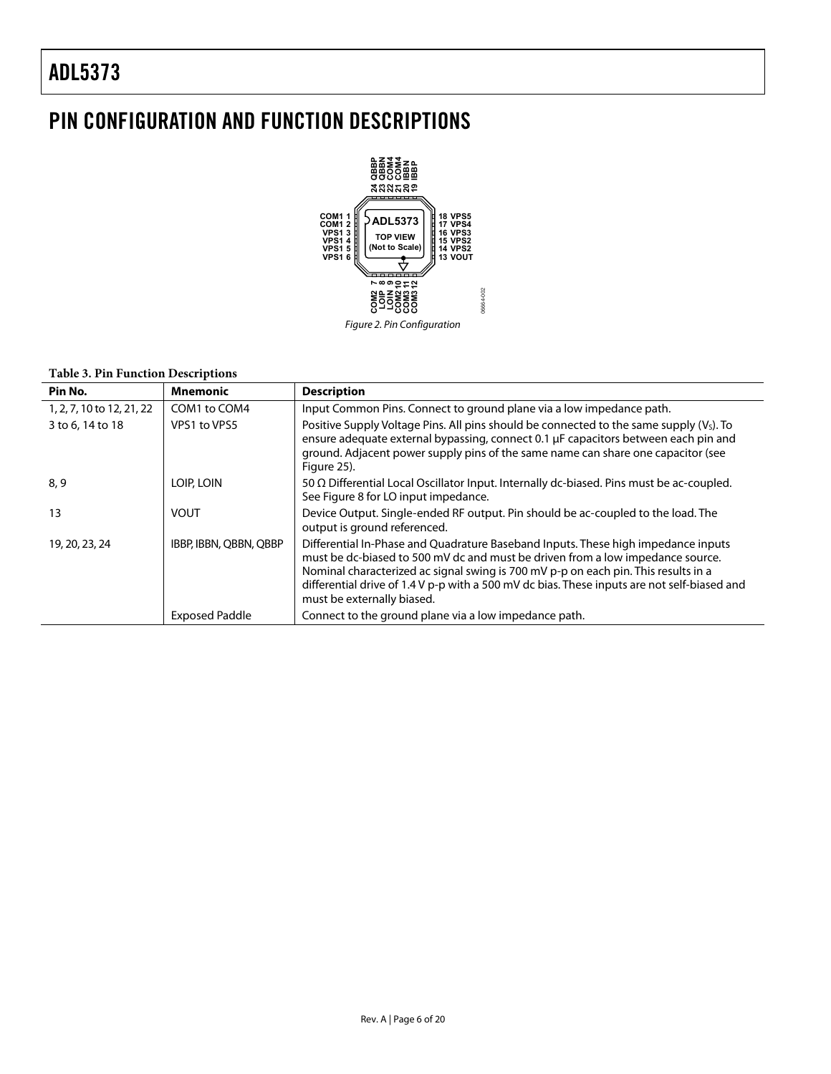### <span id="page-5-0"></span>PIN CONFIGURATION AND FUNCTION DESCRIPTIONS



#### **Table 3. Pin Function Descriptions**

| Pin No.                   | <b>Mnemonic</b>        | <b>Description</b>                                                                                                                                                                                                                                                                                                                                                                     |
|---------------------------|------------------------|----------------------------------------------------------------------------------------------------------------------------------------------------------------------------------------------------------------------------------------------------------------------------------------------------------------------------------------------------------------------------------------|
| 1, 2, 7, 10 to 12, 21, 22 | COM1 to COM4           | Input Common Pins. Connect to ground plane via a low impedance path.                                                                                                                                                                                                                                                                                                                   |
| 3 to 6, 14 to 18          | VPS1 to VPS5           | Positive Supply Voltage Pins. All pins should be connected to the same supply (V <sub>S</sub> ). To<br>ensure adequate external bypassing, connect 0.1 µF capacitors between each pin and<br>ground. Adjacent power supply pins of the same name can share one capacitor (see<br>Figure 25).                                                                                           |
| 8, 9                      | LOIP, LOIN             | 50 $\Omega$ Differential Local Oscillator Input. Internally dc-biased. Pins must be ac-coupled.<br>See Figure 8 for LO input impedance.                                                                                                                                                                                                                                                |
| 13                        | <b>VOUT</b>            | Device Output. Single-ended RF output. Pin should be ac-coupled to the load. The<br>output is ground referenced.                                                                                                                                                                                                                                                                       |
| 19, 20, 23, 24            | IBBP, IBBN, QBBN, QBBP | Differential In-Phase and Quadrature Baseband Inputs. These high impedance inputs<br>must be dc-biased to 500 mV dc and must be driven from a low impedance source.<br>Nominal characterized ac signal swing is 700 mV p-p on each pin. This results in a<br>differential drive of 1.4 V p-p with a 500 mV dc bias. These inputs are not self-biased and<br>must be externally biased. |
|                           | <b>Exposed Paddle</b>  | Connect to the ground plane via a low impedance path.                                                                                                                                                                                                                                                                                                                                  |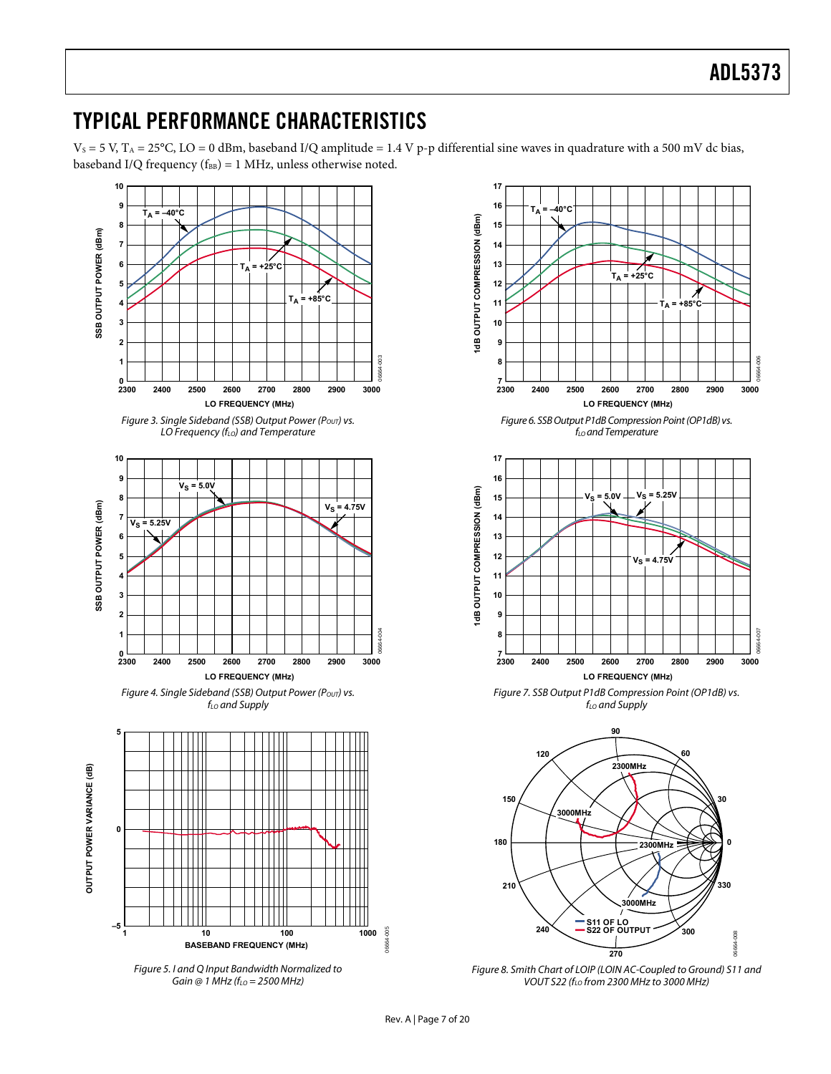### <span id="page-6-0"></span>TYPICAL PERFORMANCE CHARACTERISTICS

 $V_S = 5$  V,  $T_A = 25$ °C, LO = 0 dBm, baseband I/Q amplitude = 1.4 V p-p differential sine waves in quadrature with a 500 mV dc bias, baseband I/Q frequency ( $f_{BB}$ ) = 1 MHz, unless otherwise noted.



<span id="page-6-1"></span>



Figure 6. SSB Output P1dB Compression Point (OP1dB) vs.  $f_{LO}$  and Temperature



Figure 7. SSB Output P1dB Compression Point (OP1dB) vs.  $f_{LO}$  and Supply



Figure 8. Smith Chart of LOIP (LOIN AC-Coupled to Ground) S11 and VOUT S22 (f<sub>LO</sub> from 2300 MHz to 3000 MHz)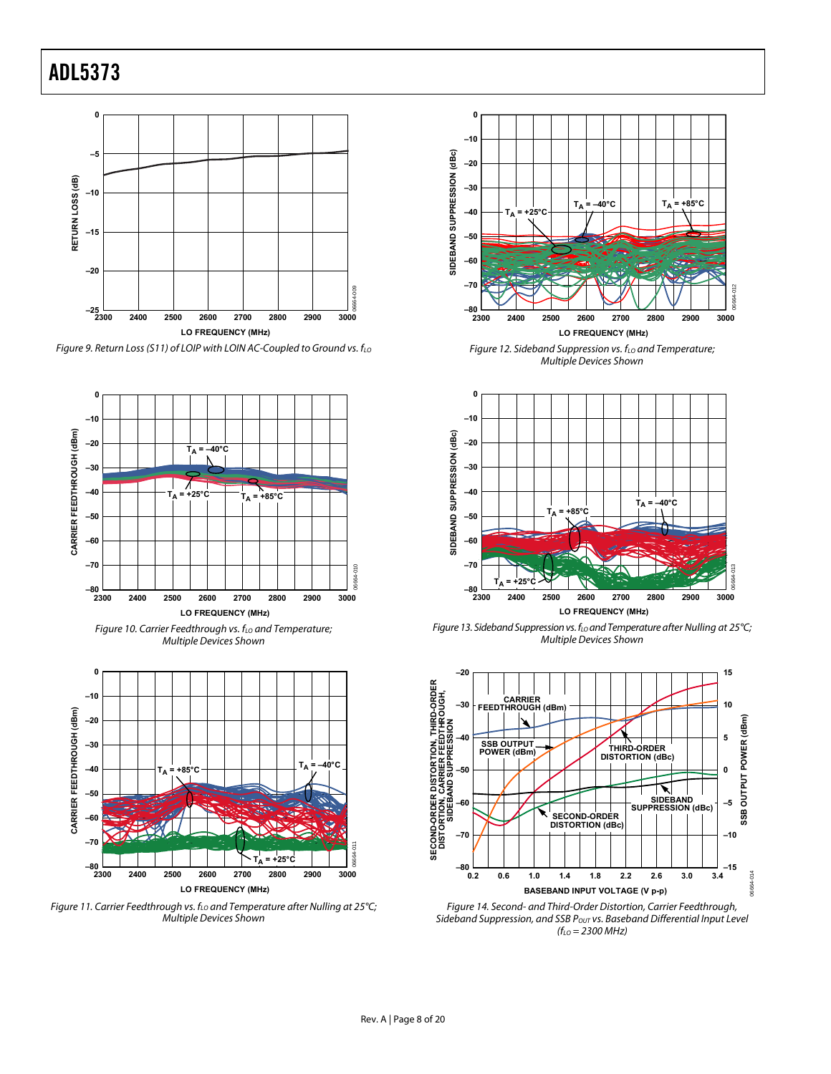

<span id="page-7-0"></span>







Figure 11. Carrier Feedthrough vs.  $f_{LO}$  and Temperature after Nulling at 25°C; Multiple Devices Shown



Figure 12. Sideband Suppression vs.  $f_{LO}$  and Temperature; Multiple Devices Shown



Figure 13. Sideband Suppression vs. f<sub>LO</sub> and Temperature after Nulling at 25°C; Multiple Devices Shown



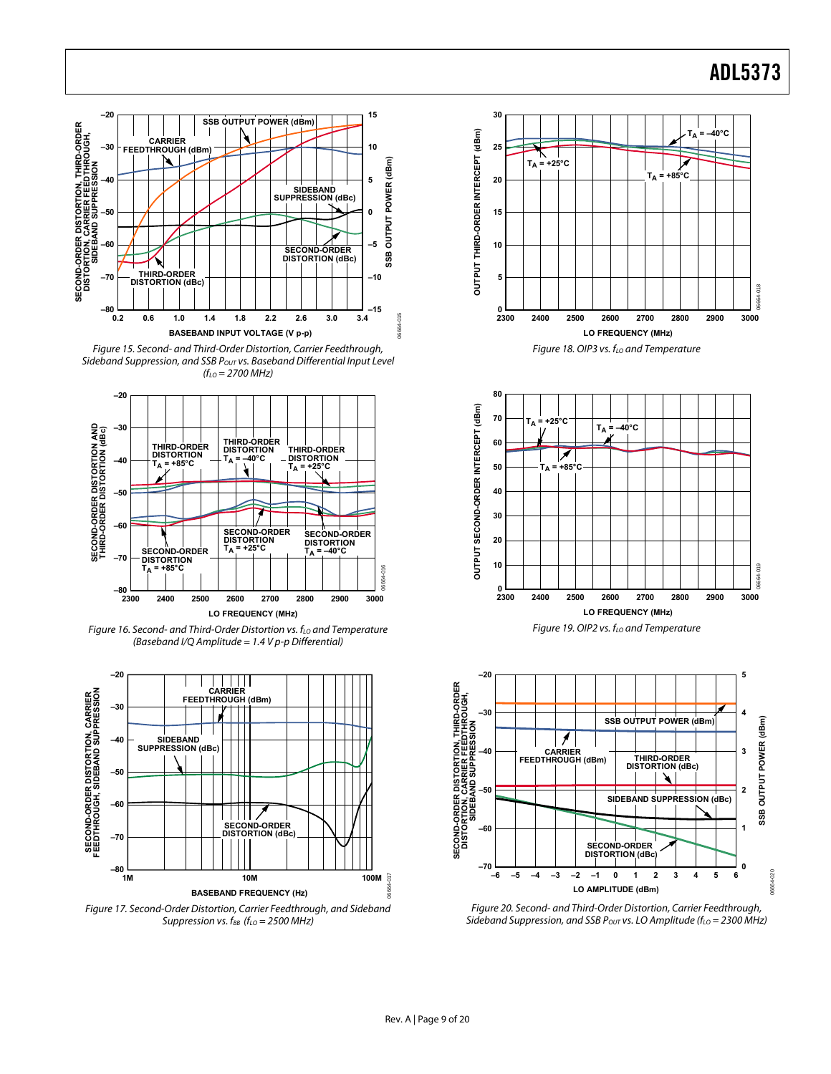





Figure 16. Second- and Third-Order Distortion vs.  $f_{LO}$  and Temperature (Baseband I/Q Amplitude =  $1.4$  V p-p Differential)



<span id="page-8-0"></span>Figure 17. Second-Order Distortion, Carrier Feedthrough, and Sideband Suppression vs.  $f_{BB}$  ( $f_{LO}$  = 2500 MHz)









Figure 20. Second- and Third-Order Distortion, Carrier Feedthrough, Sideband Suppression, and SSB Pout vs. LO Amplitude ( $f_{LO}$  = 2300 MHz)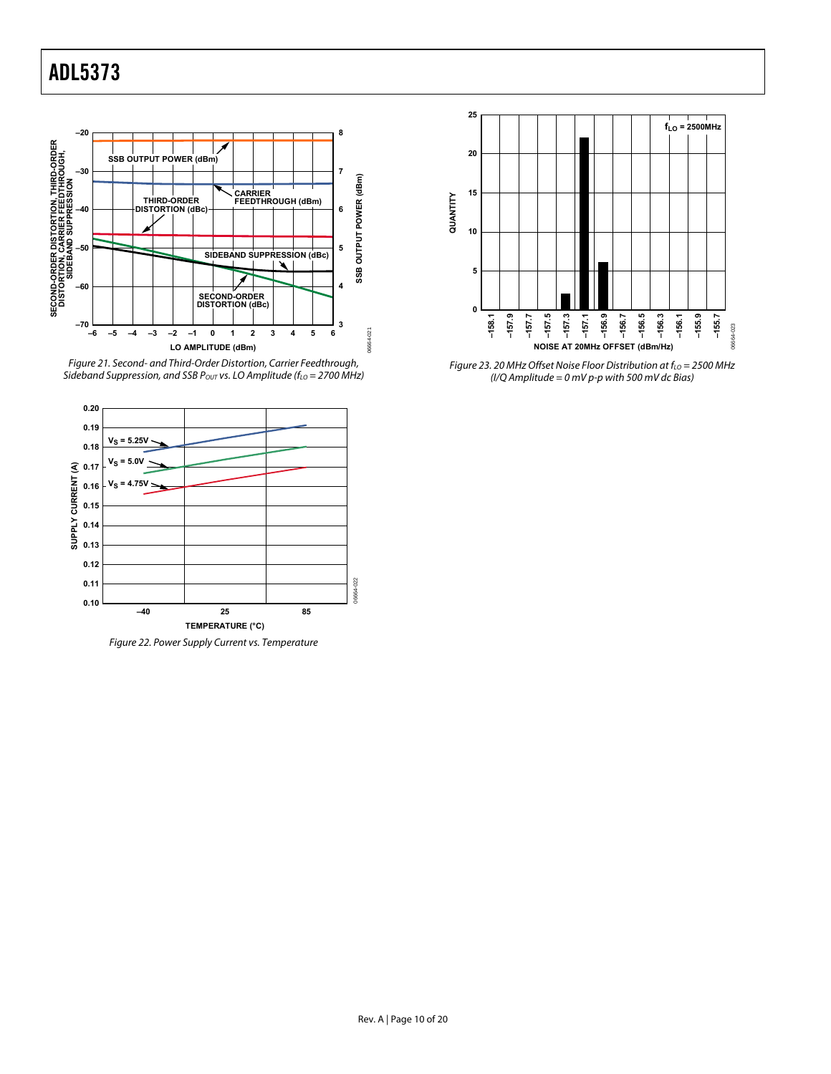

<span id="page-9-0"></span>Figure 21. Second- and Third-Order Distortion, Carrier Feedthrough, Sideband Suppression, and SSB Pout vs. LO Amplitude ( $f_{LO}$  = 2700 MHz)



Figure 22. Power Supply Current vs. Temperature



Figure 23. 20 MHz Offset Noise Floor Distribution at  $f_{LO} = 2500$  MHz (I/Q Amplitude =  $0$  mV p-p with 500 mV dc Bias)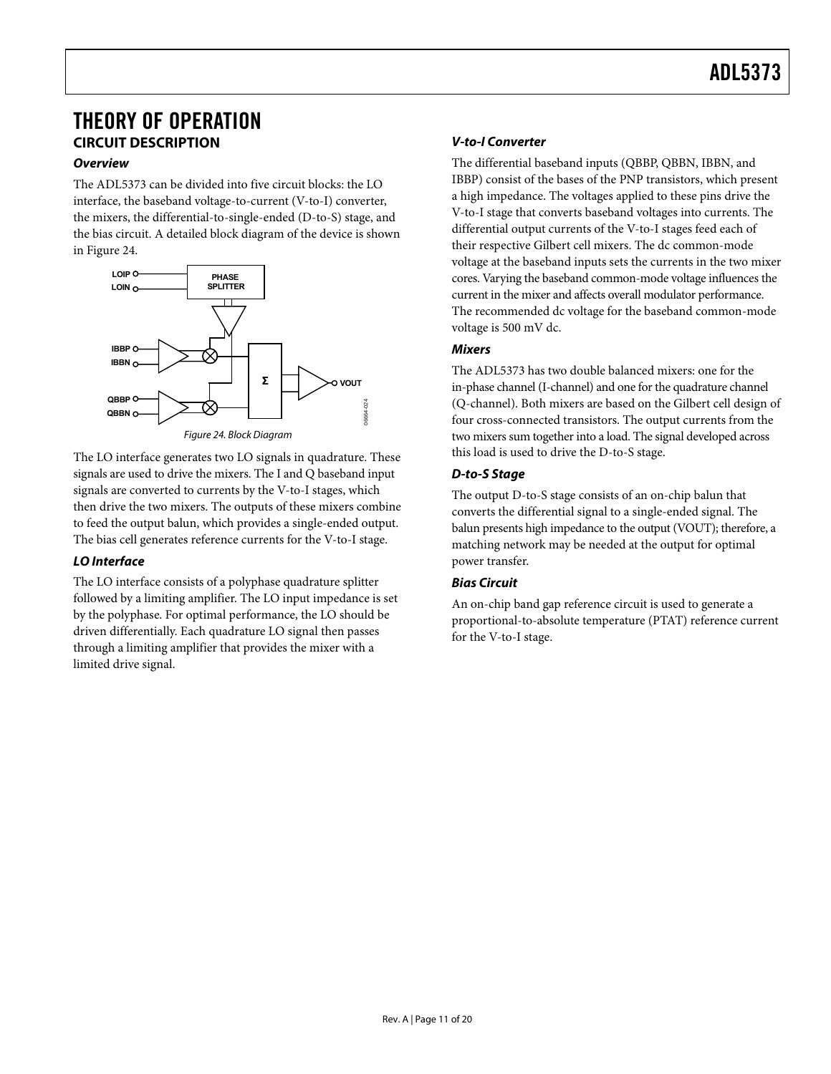### <span id="page-10-1"></span><span id="page-10-0"></span>THEORY OF OPERATION **CIRCUIT DESCRIPTION**

#### **Overview**

The ADL5373 can be divided into five circuit blocks: the LO interface, the baseband voltage-to-current (V-to-I) converter, the mixers, the differential-to-single-ended (D-to-S) stage, and the bias circuit. A detailed block diagram of the device is shown in [Figure 24](#page-10-2).



Figure 24. Block Diagram

<span id="page-10-2"></span>The LO interface generates two LO signals in quadrature. These signals are used to drive the mixers. The I and Q baseband input signals are converted to currents by the V-to-I stages, which then drive the two mixers. The outputs of these mixers combine to feed the output balun, which provides a single-ended output. The bias cell generates reference currents for the V-to-I stage.

#### **LO Interface**

The LO interface consists of a polyphase quadrature splitter followed by a limiting amplifier. The LO input impedance is set by the polyphase. For optimal performance, the LO should be driven differentially. Each quadrature LO signal then passes through a limiting amplifier that provides the mixer with a limited drive signal.

#### **V-to-I Converter**

The differential baseband inputs (QBBP, QBBN, IBBN, and IBBP) consist of the bases of the PNP transistors, which present a high impedance. The voltages applied to these pins drive the V-to-I stage that converts baseband voltages into currents. The differential output currents of the V-to-I stages feed each of their respective Gilbert cell mixers. The dc common-mode voltage at the baseband inputs sets the currents in the two mixer cores. Varying the baseband common-mode voltage influences the current in the mixer and affects overall modulator performance. The recommended dc voltage for the baseband common-mode voltage is 500 mV dc.

#### **Mixers**

The ADL5373 has two double balanced mixers: one for the in-phase channel (I-channel) and one for the quadrature channel (Q-channel). Both mixers are based on the Gilbert cell design of four cross-connected transistors. The output currents from the two mixers sum together into a load. The signal developed across this load is used to drive the D-to-S stage.

#### **D-to-S Stage**

The output D-to-S stage consists of an on-chip balun that converts the differential signal to a single-ended signal. The balun presents high impedance to the output (VOUT); therefore, a matching network may be needed at the output for optimal power transfer.

#### **Bias Circuit**

An on-chip band gap reference circuit is used to generate a proportional-to-absolute temperature (PTAT) reference current for the V-to-I stage.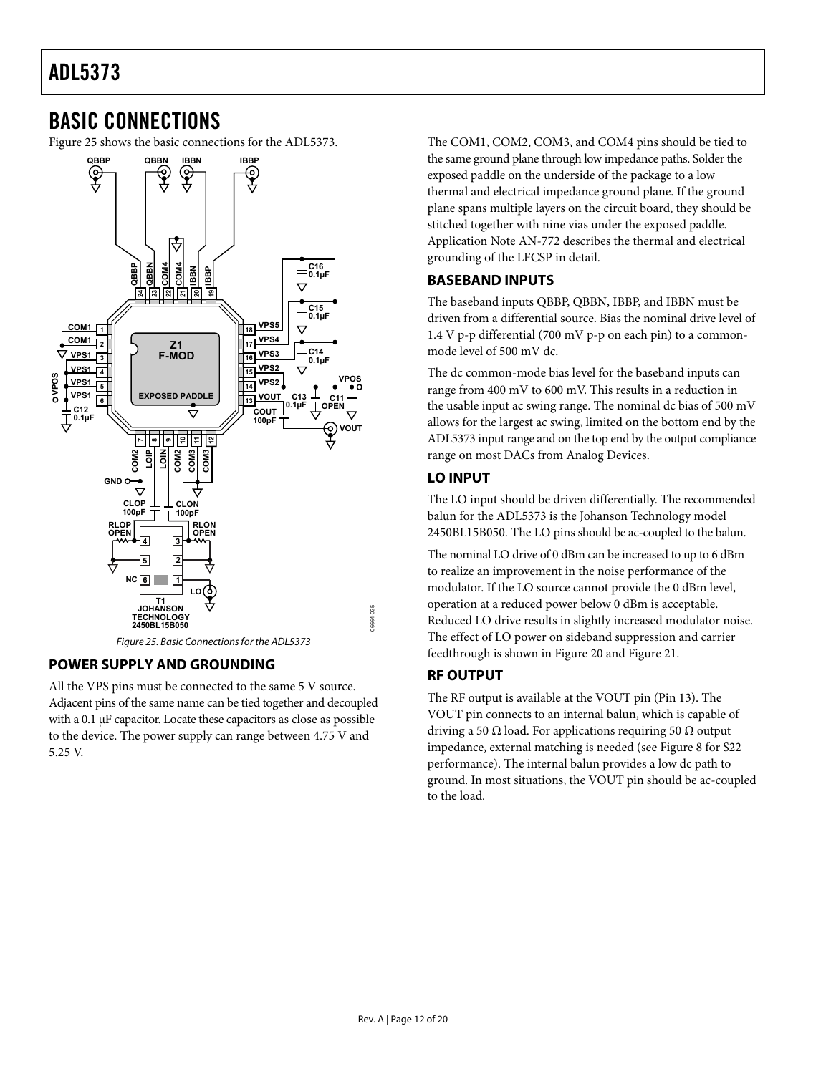### <span id="page-11-0"></span>BASIC CONNECTIONS

[Figure 25](#page-11-1) shows the basic connections for the ADL5373.



#### Figure 25. Basic Connections for the ADL5373

#### <span id="page-11-2"></span><span id="page-11-1"></span>**POWER SUPPLY AND GROUNDING**

All the VPS pins must be connected to the same 5 V source. Adjacent pins of the same name can be tied together and decoupled with a 0.1 μF capacitor. Locate these capacitors as close as possible to the device. The power supply can range between 4.75 V and 5.25 V.

The COM1, COM2, COM3, and COM4 pins should be tied to the same ground plane through low impedance paths. Solder the exposed paddle on the underside of the package to a low thermal and electrical impedance ground plane. If the ground plane spans multiple layers on the circuit board, they should be stitched together with nine vias under the exposed paddle. Application Note AN-772 describes the thermal and electrical grounding of the LFCSP in detail.

#### **BASEBAND INPUTS**

The baseband inputs QBBP, QBBN, IBBP, and IBBN must be driven from a differential source. Bias the nominal drive level of 1.4 V p-p differential (700 mV p-p on each pin) to a commonmode level of 500 mV dc.

The dc common-mode bias level for the baseband inputs can range from 400 mV to 600 mV. This results in a reduction in the usable input ac swing range. The nominal dc bias of 500 mV allows for the largest ac swing, limited on the bottom end by the ADL5373 input range and on the top end by the output compliance range on most DACs from Analog Devices.

#### **LO INPUT**

The LO input should be driven differentially. The recommended balun for the ADL5373 is the Johanson Technology model 2450BL15B050. The LO pins should be ac-coupled to the balun.

The nominal LO drive of 0 dBm can be increased to up to 6 dBm to realize an improvement in the noise performance of the modulator. If the LO source cannot provide the 0 dBm level, operation at a reduced power below 0 dBm is acceptable. Reduced LO drive results in slightly increased modulator noise. The effect of LO power on sideband suppression and carrier feedthrough is shown in [Figure 20](#page-8-0) and [Figure 21](#page-9-0).

#### **RF OUTPUT**

The RF output is available at the VOUT pin (Pin 13). The VOUT pin connects to an internal balun, which is capable of driving a 50  $\Omega$  load. For applications requiring 50  $\Omega$  output impedance, external matching is needed (see [Figure 8](#page-6-1) for S22 performance). The internal balun provides a low dc path to ground. In most situations, the VOUT pin should be ac-coupled to the load.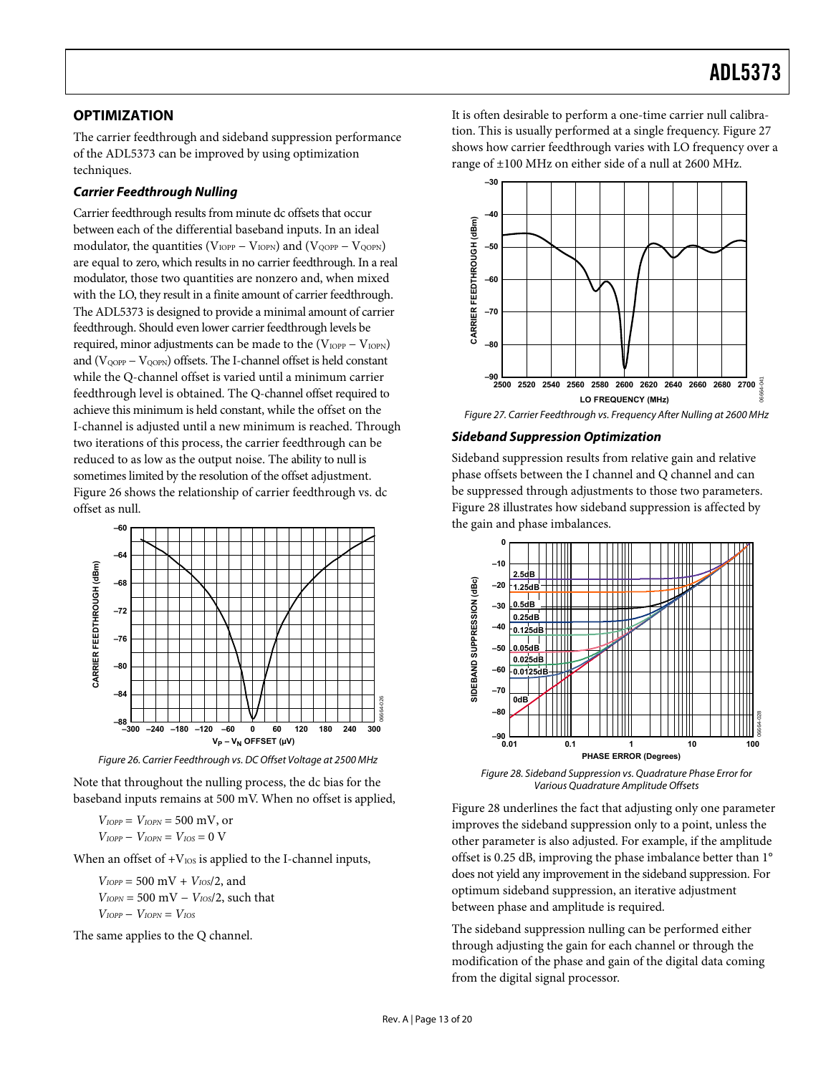#### <span id="page-12-0"></span>**OPTIMIZATION**

The carrier feedthrough and sideband suppression performance of the ADL5373 can be improved by using optimization techniques.

#### **Carrier Feedthrough Nulling**

Carrier feedthrough results from minute dc offsets that occur between each of the differential baseband inputs. In an ideal modulator, the quantities ( $V<sub>IOPP</sub> - V<sub>IOPN</sub>$ ) and ( $V<sub>QOPP</sub> - V<sub>QOPN</sub>$ ) are equal to zero, which results in no carrier feedthrough. In a real modulator, those two quantities are nonzero and, when mixed with the LO, they result in a finite amount of carrier feedthrough. The ADL5373 is designed to provide a minimal amount of carrier feedthrough. Should even lower carrier feedthrough levels be required, minor adjustments can be made to the  $(V_{IOPP} - V_{IOPN})$ and ( $V_{\text{OOPP}} - V_{\text{OOPN}}$ ) offsets. The I-channel offset is held constant while the Q-channel offset is varied until a minimum carrier feedthrough level is obtained. The Q-channel offset required to achieve this minimum is held constant, while the offset on the I-channel is adjusted until a new minimum is reached. Through two iterations of this process, the carrier feedthrough can be reduced to as low as the output noise. The ability to null is sometimes limited by the resolution of the offset adjustment. [Figure 26](#page-12-1) shows the relationship of carrier feedthrough vs. dc offset as null.

<span id="page-12-4"></span><span id="page-12-2"></span>

Figure 26. Carrier Feedthrough vs. DC Offset Voltage at 2500 MHz

<span id="page-12-3"></span><span id="page-12-1"></span>Note that throughout the nulling process, the dc bias for the baseband inputs remains at 500 mV. When no offset is applied,

 $V_{IOPP} = V_{IOPN} = 500$  mV, or  $V_{IOPP} - V_{IOPN} = V_{IOS} = 0$  V

When an offset of  $+V_{IOS}$  is applied to the I-channel inputs,

 $V_{IOPP} = 500 \text{ mV} + V_{IOS}/2$ , and *V<sub>IOPN</sub>* = 500 m*V* − *V<sub>IOS</sub>*/2, such that  $V_{IOPP} - V_{IOPN} = V_{IOS}$ 

The same applies to the Q channel.

It is often desirable to perform a one-time carrier null calibration. This is usually performed at a single frequency. [Figure 27](#page-12-2) shows how carrier feedthrough varies with LO frequency over a range of ±100 MHz on either side of a null at 2600 MHz.



#### Figure 27. Carrier Feedthrough vs. Frequency After Nulling at 2600 MHz

#### **Sideband Suppression Optimization**

Sideband suppression results from relative gain and relative phase offsets between the I channel and Q channel and can be suppressed through adjustments to those two parameters. [Figure 28](#page-12-3) illustrates how sideband suppression is affected by the gain and phase imbalances.



Figure 28. Sideband Suppression vs. Quadrature Phase Error for Various Quadrature Amplitude Offsets

[Figure 28](#page-12-3) underlines the fact that adjusting only one parameter improves the sideband suppression only to a point, unless the other parameter is also adjusted. For example, if the amplitude offset is 0.25 dB, improving the phase imbalance better than 1° does not yield any improvement in the sideband suppression. For optimum sideband suppression, an iterative adjustment between phase and amplitude is required.

The sideband suppression nulling can be performed either through adjusting the gain for each channel or through the modification of the phase and gain of the digital data coming from the digital signal processor.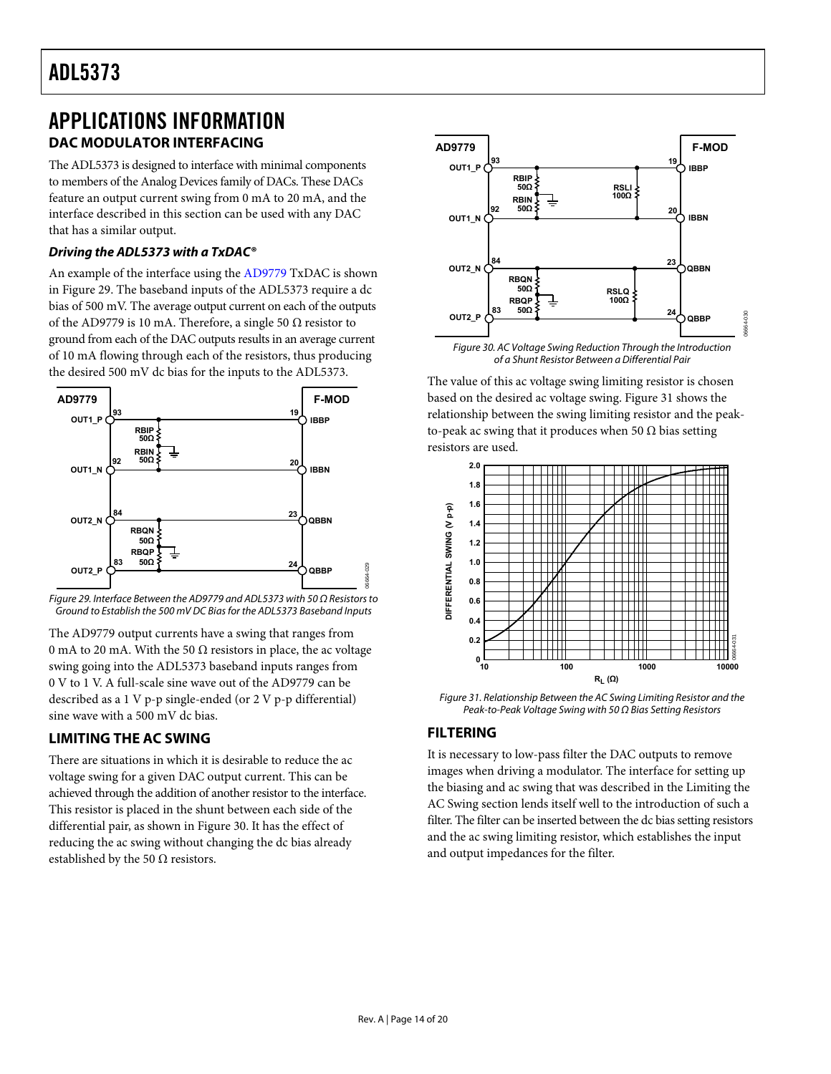### <span id="page-13-0"></span>APPLICATIONS INFORMATION **DAC MODULATOR INTERFACING**

The ADL5373 is designed to interface with minimal components to members of the Analog Devices family of DACs. These DACs feature an output current swing from 0 mA to 20 mA, and the interface described in this section can be used with any DAC that has a similar output.

#### **Driving the ADL5373 with a TxDAC®**

An example of the interface using the [AD9779](http://www.analog.com/AD9779) TxDAC is shown in [Figure 29](#page-13-1). The baseband inputs of the ADL5373 require a dc bias of 500 mV. The average output current on each of the outputs of the [AD9779](http://www.analog.com/AD9779) is 10 mA. Therefore, a single 50  $\Omega$  resistor to ground from each of the DAC outputs results in an average current of 10 mA flowing through each of the resistors, thus producing the desired 500 mV dc bias for the inputs to the ADL5373.

<span id="page-13-2"></span>

<span id="page-13-1"></span>

The [AD9779](http://www.analog.com/AD9779) output currents have a swing that ranges from 0 mA to 20 mA. With the 50  $\Omega$  resistors in place, the ac voltage swing going into the ADL5373 baseband inputs ranges from 0 V to 1 V. A full-scale sine wave out of the [AD9779](http://www.analog.com/AD9779) can be described as a 1 V p-p single-ended (or 2 V p-p differential) sine wave with a 500 mV dc bias.

#### <span id="page-13-5"></span><span id="page-13-4"></span><span id="page-13-3"></span>**LIMITING THE AC SWING**

There are situations in which it is desirable to reduce the ac voltage swing for a given DAC output current. This can be achieved through the addition of another resistor to the interface. This resistor is placed in the shunt between each side of the differential pair, as shown in [Figure 30](#page-13-2). It has the effect of reducing the ac swing without changing the dc bias already established by the 50  $\Omega$  resistors.



of a Shunt Resistor Between a Differential Pair

The value of this ac voltage swing limiting resistor is chosen based on the desired ac voltage swing. [Figure 31](#page-13-3) shows the relationship between the swing limiting resistor and the peakto-peak ac swing that it produces when 50  $\Omega$  bias setting resistors are used.



Figure 31. Relationship Between the AC Swing Limiting Resistor and the Peak-to-Peak Voltage Swing with 50 Ω Bias Setting Resistors

#### **FILTERING**

06664-029

It is necessary to low-pass filter the DAC outputs to remove images when driving a modulator. The interface for setting up the biasing and ac swing that was described in the [Limiting the](#page-13-4)  [AC Swing](#page-13-4) section lends itself well to the introduction of such a filter. The filter can be inserted between the dc bias setting resistors and the ac swing limiting resistor, which establishes the input and output impedances for the filter.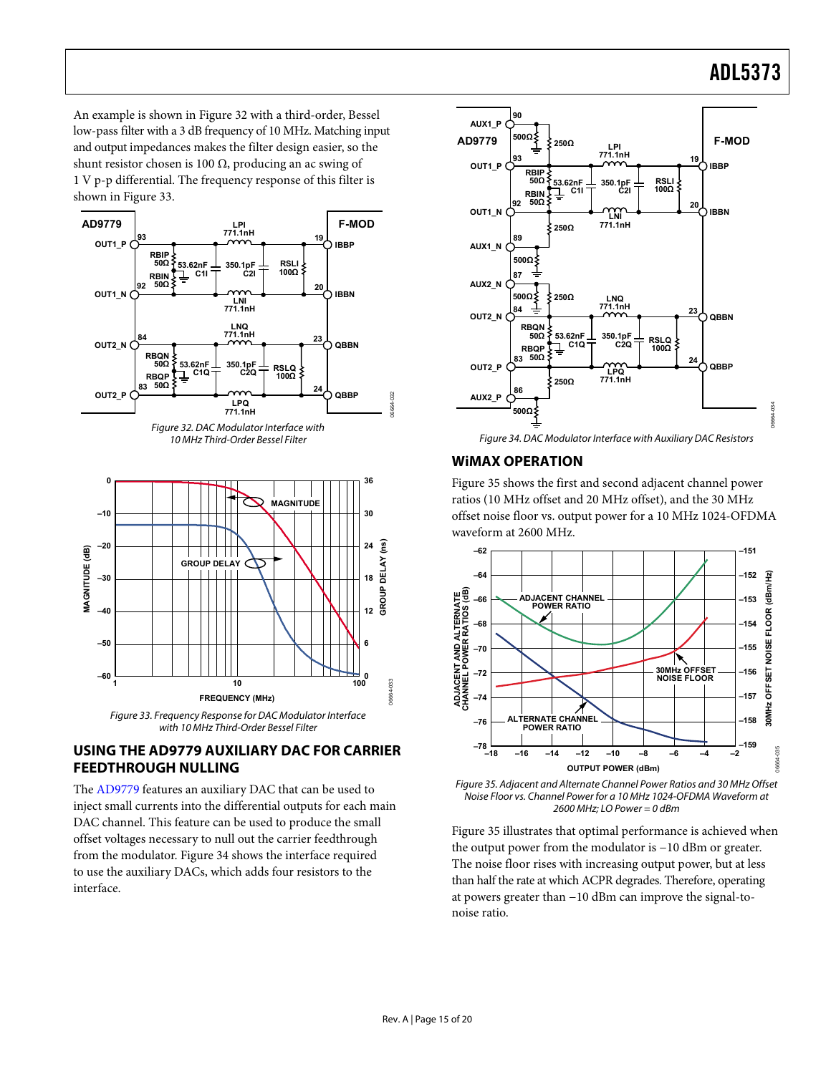<span id="page-14-0"></span>An example is shown in [Figure 32](#page-14-1) with a third-order, Bessel low-pass filter with a 3 dB frequency of 10 MHz. Matching input and output impedances makes the filter design easier, so the shunt resistor chosen is 100 Ω, producing an ac swing of 1 V p-p differential. The frequency response of this filter is shown in [Figure 33](#page-14-2).





<span id="page-14-3"></span><span id="page-14-1"></span>

#### <span id="page-14-2"></span>**USING THE AD9779 AUXILIARY DAC FOR CARRIER FEEDTHROUGH NULLING**

<span id="page-14-4"></span>The [AD9779](http://www.analog.com/AD9779) features an auxiliary DAC that can be used to inject small currents into the differential outputs for each main DAC channel. This feature can be used to produce the small offset voltages necessary to null out the carrier feedthrough from the modulator. [Figure 34](#page-14-3) shows the interface required to use the auxiliary DACs, which adds four resistors to the interface.



#### **WiMAX OPERATION**

06664-032

[Figure 35](#page-14-4) shows the first and second adjacent channel power ratios (10 MHz offset and 20 MHz offset), and the 30 MHz offset noise floor vs. output power for a 10 MHz 1024-OFDMA waveform at 2600 MHz.



Figure 35. Adjacent and Alternate Channel Power Ratios and 30 MHz Offset Noise Floor vs. Channel Power for a 10 MHz 1024-OFDMA Waveform at 2600 MHz; LO Power = 0 dBm

[Figure 35](#page-14-4) illustrates that optimal performance is achieved when the output power from the modulator is −10 dBm or greater. The noise floor rises with increasing output power, but at less than half the rate at which ACPR degrades. Therefore, operating at powers greater than −10 dBm can improve the signal-tonoise ratio.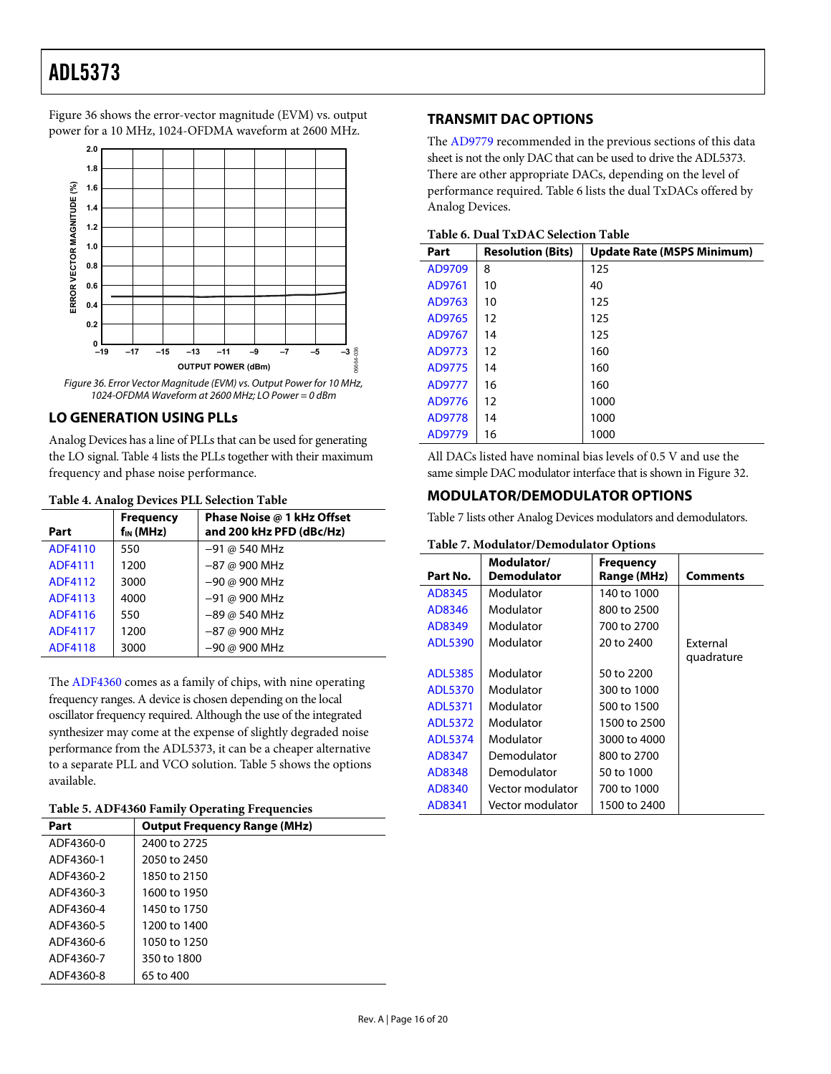<span id="page-15-0"></span>[Figure 36](#page-15-1) shows the error-vector magnitude (EVM) vs. output power for a 10 MHz, 1024-OFDMA waveform at 2600 MHz.

<span id="page-15-4"></span>

Figure 36. Error Vector Magnitude (EVM) vs. Output Power for 10 MHz, 1024-OFDMA Waveform at 2600 MHz; LO Power = 0 dBm

#### <span id="page-15-1"></span>**LO GENERATION USING PLLs**

Analog Devices has a line of PLLs that can be used for generating the LO signal. [Table 4](#page-15-2) lists the PLLs together with their maximum frequency and phase noise performance.

#### **Table 4. Analog Devices PLL Selection Table**

<span id="page-15-5"></span><span id="page-15-2"></span>

| TWORE IN TERRITOR D'UNIUDI DEL OUTUUR LA ROIU |                                    |                                                        |  |
|-----------------------------------------------|------------------------------------|--------------------------------------------------------|--|
| Part                                          | <b>Frequency</b><br>$f_{IN}$ (MHz) | Phase Noise @ 1 kHz Offset<br>and 200 kHz PFD (dBc/Hz) |  |
| ADF4110                                       | 550                                | $-91 @ 540 MHz$                                        |  |
| ADF4111                                       | 1200                               | $-87$ @ 900 MHz                                        |  |
| ADF4112                                       | 3000                               | -90 @ 900 MHz                                          |  |
| ADF4113                                       | 4000                               | -91 @ 900 MHz                                          |  |
| ADF4116                                       | 550                                | $-89$ @ 540 MHz                                        |  |
| <b>ADF4117</b>                                | 1200                               | $-87$ @ 900 MHz                                        |  |
| ADF4118                                       | 3000                               | -90 @ 900 MHz                                          |  |

The [ADF4360](http://www.analog.com/adf4360) comes as a family of chips, with nine operating frequency ranges. A device is chosen depending on the local oscillator frequency required. Although the use of the integrated synthesizer may come at the expense of slightly degraded noise performance from the ADL5373, it can be a cheaper alternative to a separate PLL and VCO solution. [Table 5](#page-15-3) shows the options available.

#### **Table 5. [ADF4360](http://www.analog.com/adf4360) Family Operating Frequencies**

<span id="page-15-3"></span>

| Part      | <b>Output Frequency Range (MHz)</b> |
|-----------|-------------------------------------|
| ADF4360-0 | 2400 to 2725                        |
| ADF4360-1 | 2050 to 2450                        |
| ADF4360-2 | 1850 to 2150                        |
| ADF4360-3 | 1600 to 1950                        |
| ADF4360-4 | 1450 to 1750                        |
| ADF4360-5 | 1200 to 1400                        |
| ADF4360-6 | 1050 to 1250                        |
| ADF4360-7 | 350 to 1800                         |
| ADF4360-8 | 65 to 400                           |

#### **TRANSMIT DAC OPTIONS**

The [AD9779](http://www.analog.com/AD9779) recommended in the previous sections of this data sheet is not the only DAC that can be used to drive the ADL5373. There are other appropriate DACs, depending on the level of performance required. [Table 6](#page-15-4) lists the dual TxDACs offered by Analog Devices.

#### **Table 6. Dual TxDAC Selection Table**

| Part   | <b>Resolution (Bits)</b> | <b>Update Rate (MSPS Minimum)</b> |  |  |  |
|--------|--------------------------|-----------------------------------|--|--|--|
| AD9709 | 8                        | 125                               |  |  |  |
| AD9761 | 10                       | 40                                |  |  |  |
| AD9763 | 10                       | 125                               |  |  |  |
| AD9765 | 12                       | 125                               |  |  |  |
| AD9767 | 14                       | 125                               |  |  |  |
| AD9773 | 12                       | 160                               |  |  |  |
| AD9775 | 14                       | 160                               |  |  |  |
| AD9777 | 16                       | 160                               |  |  |  |
| AD9776 | 12                       | 1000                              |  |  |  |
| AD9778 | 14                       | 1000                              |  |  |  |
| AD9779 | 16                       | 1000                              |  |  |  |

All DACs listed have nominal bias levels of 0.5 V and use the same simple DAC modulator interface that is shown in [Figure 32.](#page-14-1)

#### **MODULATOR/DEMODULATOR OPTIONS**

[Table 7](#page-15-5) lists other Analog Devices modulators and demodulators.

#### **Table 7. Modulator/Demodulator Options**

| Part No.       | Modulator/<br>Demodulator | <b>Frequency</b><br>Range (MHz) | Comments        |
|----------------|---------------------------|---------------------------------|-----------------|
| AD8345         | Modulator                 | 140 to 1000                     |                 |
| AD8346         | Modulator                 | 800 to 2500                     |                 |
| AD8349         | Modulator                 | 700 to 2700                     |                 |
| <b>ADL5390</b> | Modulator                 | 20 to 2400                      | <b>Fxternal</b> |
|                |                           |                                 | quadrature      |
| <b>ADL5385</b> | Modulator                 | 50 to 2200                      |                 |
| <b>ADL5370</b> | Modulator                 | 300 to 1000                     |                 |
| <b>ADL5371</b> | Modulator                 | 500 to 1500                     |                 |
| ADL5372        | Modulator                 | 1500 to 2500                    |                 |
| ADL5374        | Modulator                 | 3000 to 4000                    |                 |
| AD8347         | Demodulator               | 800 to 2700                     |                 |
| AD8348         | Demodulator               | 50 to 1000                      |                 |
| AD8340         | Vector modulator          | 700 to 1000                     |                 |
| AD8341         | Vector modulator          | 1500 to 2400                    |                 |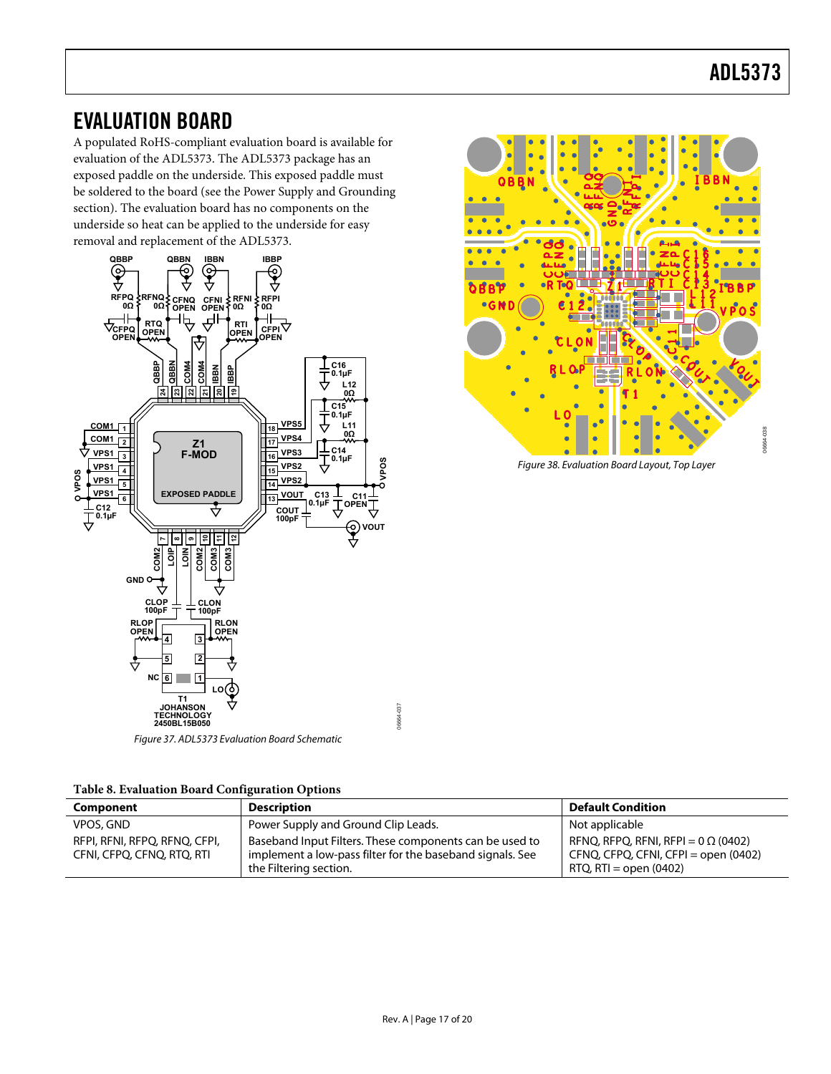### <span id="page-16-0"></span>EVALUATION BOARD

A populated RoHS-compliant evaluation board is available for evaluation of the ADL5373. The ADL5373 package has an exposed paddle on the underside. This exposed paddle must be soldered to the board (see the [Power Supply and Grounding](#page-11-2) section). The evaluation board has no components on the underside so heat can be applied to the underside for easy removal and replacement of the ADL5373.



Figure 37. ADL5373 Evaluation Board Schematic

|  |  |  | Table 8. Evaluation Board Configuration Options |  |
|--|--|--|-------------------------------------------------|--|
|--|--|--|-------------------------------------------------|--|

| Component                                                   | <b>Description</b>                                                                                                                             | <b>Default Condition</b>                                                                                          |
|-------------------------------------------------------------|------------------------------------------------------------------------------------------------------------------------------------------------|-------------------------------------------------------------------------------------------------------------------|
| <b>VPOS, GND</b>                                            | Power Supply and Ground Clip Leads.                                                                                                            | Not applicable                                                                                                    |
| RFPI, RFNI, RFPQ, RFNQ, CFPI,<br>CFNI, CFPQ, CFNQ, RTQ, RTI | Baseband Input Filters. These components can be used to<br>implement a low-pass filter for the baseband signals. See<br>the Filtering section. | RFNQ, RFPQ, RFNI, RFPI = 0 $\Omega$ (0402)<br>CFNQ, CFPQ, CFNI, CFPI = open (0402)<br>$RTQ$ , $RTI = open (0402)$ |

06664-037



Figure 38. Evaluation Board Layout, Top Layer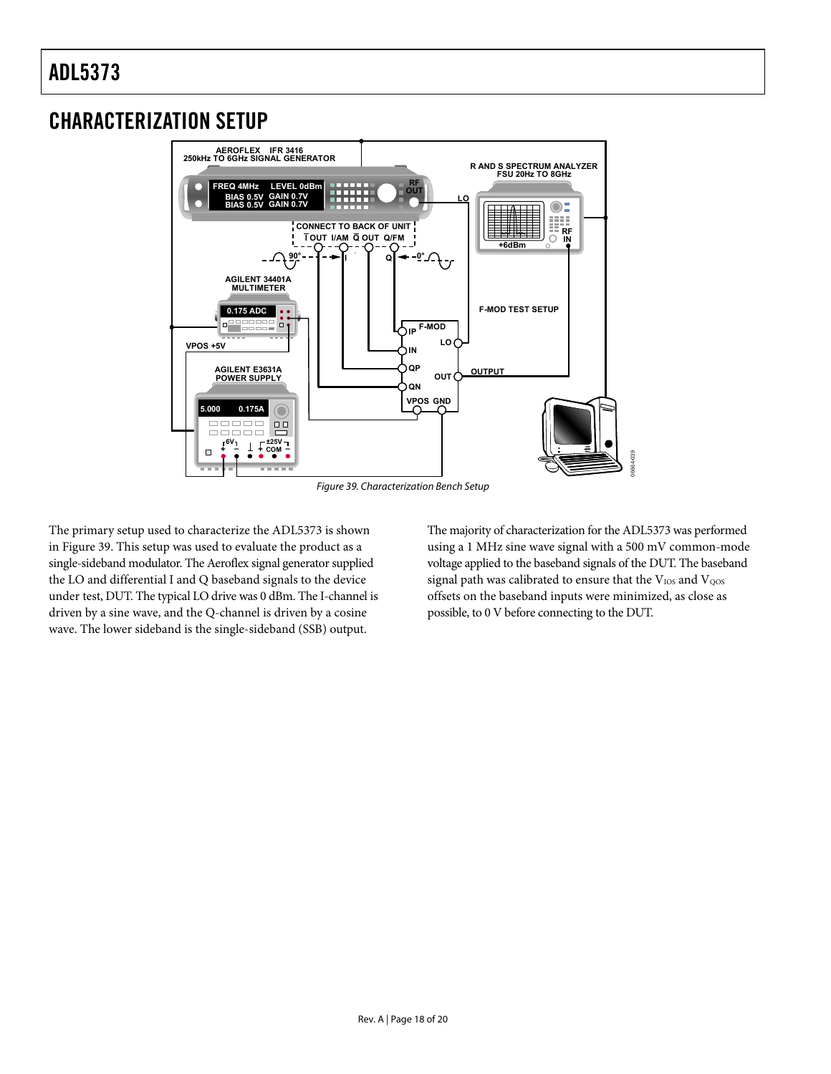### <span id="page-17-0"></span>CHARACTERIZATION SETUP



Figure 39. Characterization Bench Setup

<span id="page-17-1"></span>The primary setup used to characterize the ADL5373 is shown in [Figure 39](#page-17-1). This setup was used to evaluate the product as a single-sideband modulator. The Aeroflex signal generator supplied the LO and differential I and Q baseband signals to the device under test, DUT. The typical LO drive was 0 dBm. The I-channel is driven by a sine wave, and the Q-channel is driven by a cosine wave. The lower sideband is the single-sideband (SSB) output.

The majority of characterization for the ADL5373 was performed using a 1 MHz sine wave signal with a 500 mV common-mode voltage applied to the baseband signals of the DUT. The baseband signal path was calibrated to ensure that the  $V_{\text{IOS}}$  and  $V_{\text{QOS}}$ offsets on the baseband inputs were minimized, as close as possible, to 0 V before connecting to the DUT.

06664-039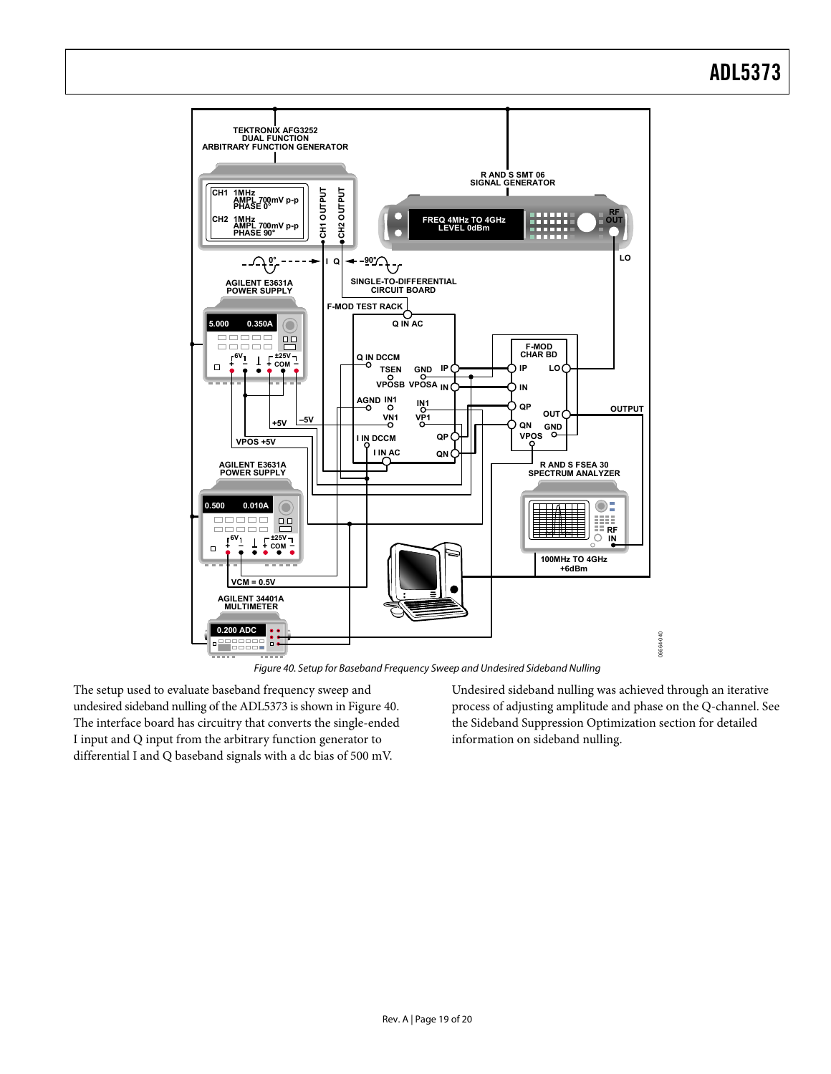

Figure 40. Setup for Baseband Frequency Sweep and Undesired Sideband Nulling

<span id="page-18-0"></span>The setup used to evaluate baseband frequency sweep and undesired sideband nulling of the ADL5373 is shown in [Figure 40](#page-18-0). The interface board has circuitry that converts the single-ended I input and Q input from the arbitrary function generator to differential I and Q baseband signals with a dc bias of 500 mV.

Undesired sideband nulling was achieved through an iterative process of adjusting amplitude and phase on the Q-channel. See the [Sideband Suppression Optimization](#page-12-4) section for detailed information on sideband nulling.

06664-040